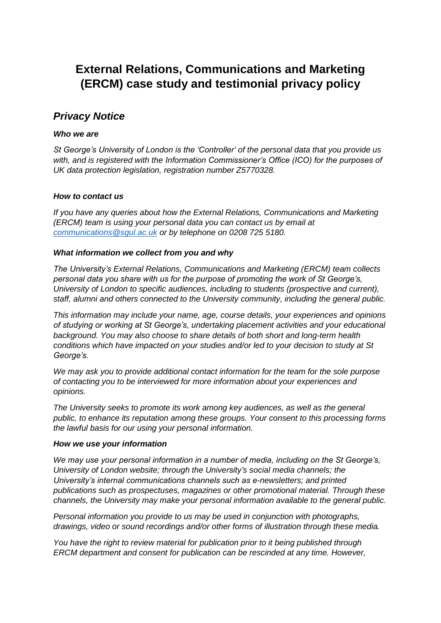# **External Relations, Communications and Marketing (ERCM) case study and testimonial privacy policy**

# *Privacy Notice*

# *Who we are*

*St George's University of London is the 'Controller' of the personal data that you provide us with, and is registered with the Information Commissioner's Office (ICO) for the purposes of UK data protection legislation, registration number Z5770328.*

# *How to contact us*

*If you have any queries about how the External Relations, Communications and Marketing (ERCM) team is using your personal data you can contact us by email at [communications@sgul.ac.uk](mailto:communications@sgul.ac.uk) or by telephone on 0208 725 5180.* 

# *What information we collect from you and why*

*The University's External Relations, Communications and Marketing (ERCM) team collects personal data you share with us for the purpose of promoting the work of St George's, University of London to specific audiences, including to students (prospective and current), staff, alumni and others connected to the University community, including the general public.* 

*This information may include your name, age, course details, your experiences and opinions of studying or working at St George's, undertaking placement activities and your educational background. You may also choose to share details of both short and long-term health conditions which have impacted on your studies and/or led to your decision to study at St George's.* 

*We may ask you to provide additional contact information for the team for the sole purpose of contacting you to be interviewed for more information about your experiences and opinions.* 

*The University seeks to promote its work among key audiences, as well as the general public, to enhance its reputation among these groups. Your consent to this processing forms the lawful basis for our using your personal information.* 

# *How we use your information*

*We may use your personal information in a number of media, including on the St George's, University of London website; through the University's social media channels; the University's internal communications channels such as e-newsletters; and printed publications such as prospectuses, magazines or other promotional material. Through these channels, the University may make your personal information available to the general public.* 

*Personal information you provide to us may be used in conjunction with photographs, drawings, video or sound recordings and/or other forms of illustration through these media.* 

*You have the right to review material for publication prior to it being published through ERCM department and consent for publication can be rescinded at any time. However,*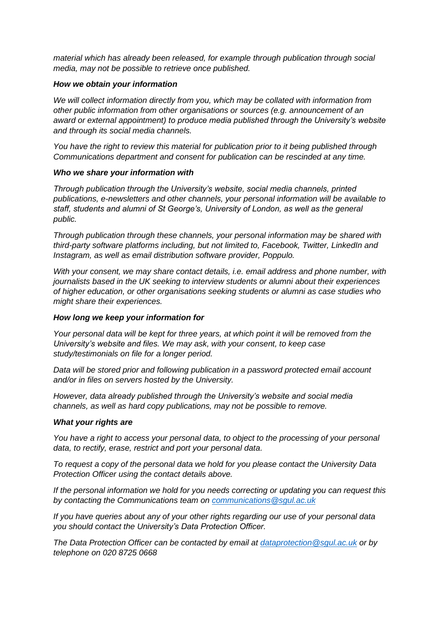*material which has already been released, for example through publication through social media, may not be possible to retrieve once published.* 

#### *How we obtain your information*

*We will collect information directly from you, which may be collated with information from other public information from other organisations or sources (e.g. announcement of an award or external appointment) to produce media published through the University's website and through its social media channels.* 

*You have the right to review this material for publication prior to it being published through Communications department and consent for publication can be rescinded at any time.*

#### *Who we share your information with*

*Through publication through the University's website, social media channels, printed publications, e-newsletters and other channels, your personal information will be available to staff, students and alumni of St George's, University of London, as well as the general public.* 

*Through publication through these channels, your personal information may be shared with third-party software platforms including, but not limited to, Facebook, Twitter, LinkedIn and Instagram, as well as email distribution software provider, Poppulo.* 

*With your consent, we may share contact details, i.e. email address and phone number, with journalists based in the UK seeking to interview students or alumni about their experiences of higher education, or other organisations seeking students or alumni as case studies who might share their experiences.* 

# *How long we keep your information for*

*Your personal data will be kept for three years, at which point it will be removed from the University's website and files. We may ask, with your consent, to keep case study/testimonials on file for a longer period.* 

*Data will be stored prior and following publication in a password protected email account and/or in files on servers hosted by the University.* 

*However, data already published through the University's website and social media channels, as well as hard copy publications, may not be possible to remove.* 

#### *What your rights are*

*You have a right to access your personal data, to object to the processing of your personal data, to rectify, erase, restrict and port your personal data.* 

*To request a copy of the personal data we hold for you please contact the University Data Protection Officer using the contact details above.*

*If the personal information we hold for you needs correcting or updating you can request this by contacting the Communications team on [communications@sgul.ac.uk](mailto:communications@sgul.ac.uk)*

*If you have queries about any of your other rights regarding our use of your personal data you should contact the University's Data Protection Officer.*

*The Data Protection Officer can be contacted by email at [dataprotection@sgul.ac.uk](mailto:dataprotection@sgul.ac.uk) or by telephone on 020 8725 0668*